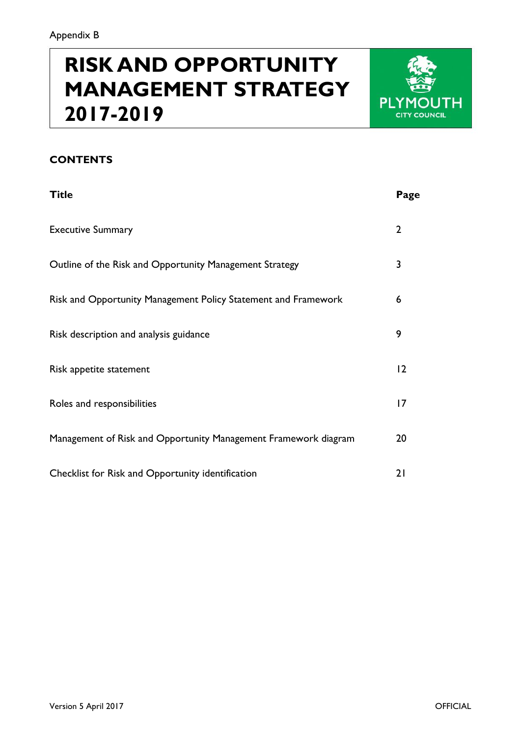# **RISK AND OPPORTUNITY MANAGEMENT STRATEGY 2017-2019**



### **CONTENTS**

| <b>Title</b>                                                    | Page           |
|-----------------------------------------------------------------|----------------|
| <b>Executive Summary</b>                                        | $\overline{2}$ |
| Outline of the Risk and Opportunity Management Strategy         | 3              |
| Risk and Opportunity Management Policy Statement and Framework  | 6              |
| Risk description and analysis guidance                          | 9              |
| Risk appetite statement                                         | 12             |
| Roles and responsibilities                                      | 17             |
| Management of Risk and Opportunity Management Framework diagram | 20             |
| Checklist for Risk and Opportunity identification               | 21             |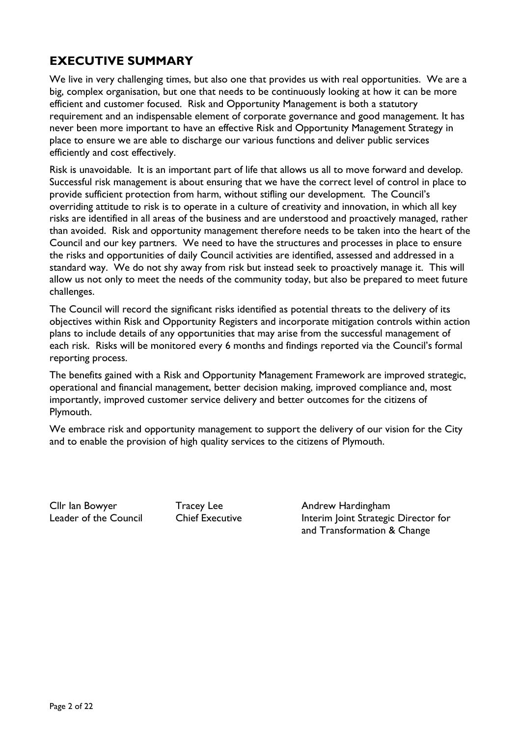### **EXECUTIVE SUMMARY**

We live in very challenging times, but also one that provides us with real opportunities. We are a big, complex organisation, but one that needs to be continuously looking at how it can be more efficient and customer focused. Risk and Opportunity Management is both a statutory requirement and an indispensable element of corporate governance and good management. It has never been more important to have an effective Risk and Opportunity Management Strategy in place to ensure we are able to discharge our various functions and deliver public services efficiently and cost effectively.

Risk is unavoidable. It is an important part of life that allows us all to move forward and develop. Successful risk management is about ensuring that we have the correct level of control in place to provide sufficient protection from harm, without stifling our development. The Council's overriding attitude to risk is to operate in a culture of creativity and innovation, in which all key risks are identified in all areas of the business and are understood and proactively managed, rather than avoided. Risk and opportunity management therefore needs to be taken into the heart of the Council and our key partners. We need to have the structures and processes in place to ensure the risks and opportunities of daily Council activities are identified, assessed and addressed in a standard way. We do not shy away from risk but instead seek to proactively manage it. This will allow us not only to meet the needs of the community today, but also be prepared to meet future challenges.

The Council will record the significant risks identified as potential threats to the delivery of its objectives within Risk and Opportunity Registers and incorporate mitigation controls within action plans to include details of any opportunities that may arise from the successful management of each risk. Risks will be monitored every 6 months and findings reported via the Council's formal reporting process.

The benefits gained with a Risk and Opportunity Management Framework are improved strategic, operational and financial management, better decision making, improved compliance and, most importantly, improved customer service delivery and better outcomes for the citizens of Plymouth.

We embrace risk and opportunity management to support the delivery of our vision for the City and to enable the provision of high quality services to the citizens of Plymouth.

Cllr Ian Bowyer Tracey Lee Andrew Hardingham

Leader of the Council Chief Executive Interim Joint Strategic Director for and Transformation & Change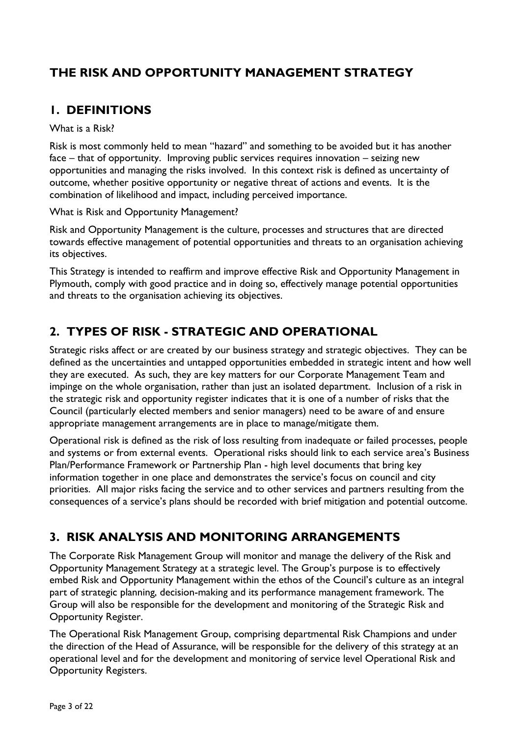# **THE RISK AND OPPORTUNITY MANAGEMENT STRATEGY**

### **1. DEFINITIONS**

### What is a Risk?

Risk is most commonly held to mean "hazard" and something to be avoided but it has another face – that of opportunity. Improving public services requires innovation – seizing new opportunities and managing the risks involved. In this context risk is defined as uncertainty of outcome, whether positive opportunity or negative threat of actions and events. It is the combination of likelihood and impact, including perceived importance.

What is Risk and Opportunity Management?

Risk and Opportunity Management is the culture, processes and structures that are directed towards effective management of potential opportunities and threats to an organisation achieving its objectives.

This Strategy is intended to reaffirm and improve effective Risk and Opportunity Management in Plymouth, comply with good practice and in doing so, effectively manage potential opportunities and threats to the organisation achieving its objectives.

# **2. TYPES OF RISK - STRATEGIC AND OPERATIONAL**

Strategic risks affect or are created by our business strategy and strategic objectives. They can be defined as the uncertainties and untapped opportunities embedded in strategic intent and how well they are executed. As such, they are key matters for our Corporate Management Team and impinge on the whole organisation, rather than just an isolated department. Inclusion of a risk in the strategic risk and opportunity register indicates that it is one of a number of risks that the Council (particularly elected members and senior managers) need to be aware of and ensure appropriate management arrangements are in place to manage/mitigate them.

Operational risk is defined as the risk of loss resulting from inadequate or failed processes, people and systems or from external events. Operational risks should link to each service area's Business Plan/Performance Framework or Partnership Plan - high level documents that bring key information together in one place and demonstrates the service's focus on council and city priorities. All major risks facing the service and to other services and partners resulting from the consequences of a service's plans should be recorded with brief mitigation and potential outcome.

# **3. RISK ANALYSIS AND MONITORING ARRANGEMENTS**

The Corporate Risk Management Group will monitor and manage the delivery of the Risk and Opportunity Management Strategy at a strategic level. The Group's purpose is to effectively embed Risk and Opportunity Management within the ethos of the Council's culture as an integral part of strategic planning, decision-making and its performance management framework. The Group will also be responsible for the development and monitoring of the Strategic Risk and Opportunity Register.

The Operational Risk Management Group, comprising departmental Risk Champions and under the direction of the Head of Assurance, will be responsible for the delivery of this strategy at an operational level and for the development and monitoring of service level Operational Risk and Opportunity Registers.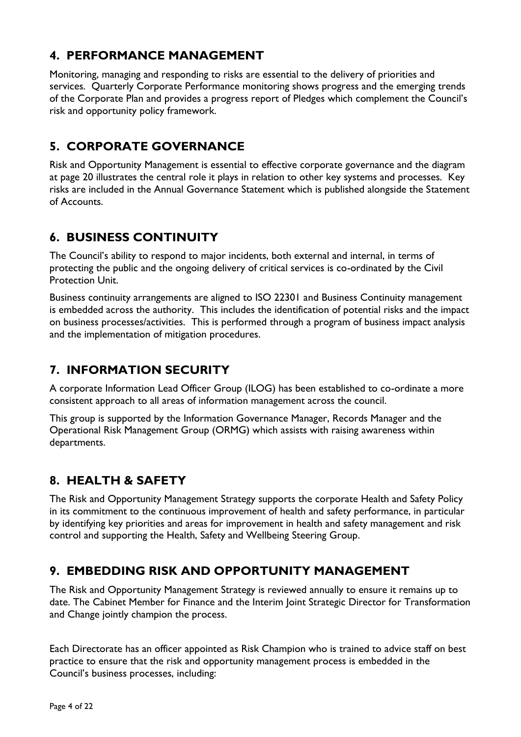# **4. PERFORMANCE MANAGEMENT**

Monitoring, managing and responding to risks are essential to the delivery of priorities and services. Quarterly Corporate Performance monitoring shows progress and the emerging trends of the Corporate Plan and provides a progress report of Pledges which complement the Council's risk and opportunity policy framework.

# **5. CORPORATE GOVERNANCE**

Risk and Opportunity Management is essential to effective corporate governance and the diagram at page 20 illustrates the central role it plays in relation to other key systems and processes. Key risks are included in the Annual Governance Statement which is published alongside the Statement of Accounts.

# **6. BUSINESS CONTINUITY**

The Council's ability to respond to major incidents, both external and internal, in terms of protecting the public and the ongoing delivery of critical services is co-ordinated by the Civil Protection Unit.

Business continuity arrangements are aligned to ISO 22301 and Business Continuity management is embedded across the authority. This includes the identification of potential risks and the impact on business processes/activities. This is performed through a program of business impact analysis and the implementation of mitigation procedures.

# **7. INFORMATION SECURITY**

A corporate Information Lead Officer Group (ILOG) has been established to co-ordinate a more consistent approach to all areas of information management across the council.

This group is supported by the Information Governance Manager, Records Manager and the Operational Risk Management Group (ORMG) which assists with raising awareness within departments.

# **8. HEALTH & SAFETY**

The Risk and Opportunity Management Strategy supports the corporate Health and Safety Policy in its commitment to the continuous improvement of health and safety performance, in particular by identifying key priorities and areas for improvement in health and safety management and risk control and supporting the Health, Safety and Wellbeing Steering Group.

# **9. EMBEDDING RISK AND OPPORTUNITY MANAGEMENT**

The Risk and Opportunity Management Strategy is reviewed annually to ensure it remains up to date. The Cabinet Member for Finance and the Interim Joint Strategic Director for Transformation and Change jointly champion the process.

Each Directorate has an officer appointed as Risk Champion who is trained to advice staff on best practice to ensure that the risk and opportunity management process is embedded in the Council's business processes, including: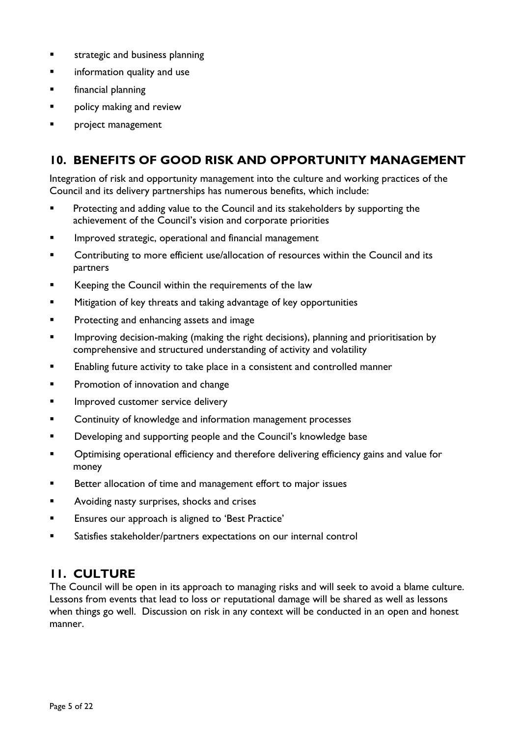- **EXECUTE:** Strategic and business planning
- **EXECUTE:** information quality and use
- **Example 1** financial planning
- **Part Prolicy making and review**
- project management

### **10. BENEFITS OF GOOD RISK AND OPPORTUNITY MANAGEMENT**

Integration of risk and opportunity management into the culture and working practices of the Council and its delivery partnerships has numerous benefits, which include:

- **Protecting and adding value to the Council and its stakeholders by supporting the** achievement of the Council's vision and corporate priorities
- Improved strategic, operational and financial management
- Contributing to more efficient use/allocation of resources within the Council and its partners
- Keeping the Council within the requirements of the law
- **EXECT** Mitigation of key threats and taking advantage of key opportunities
- **Protecting and enhancing assets and image**
- Improving decision-making (making the right decisions), planning and prioritisation by comprehensive and structured understanding of activity and volatility
- **Enabling future activity to take place in a consistent and controlled manner**
- **Promotion of innovation and change**
- **IMPROVED CUSTOMER SERVICE delivery**
- **EXECONTERGIVE CONTINUITY OF KNOWLEDGE AND INFORMATION MANAGEMENT CONTINUITY CONTINUITY**
- **Developing and supporting people and the Council's knowledge base**
- **Deparational Efficiency and therefore delivering efficiency gains and value for** money
- **Better allocation of time and management effort to major issues**
- **Avoiding nasty surprises, shocks and crises**
- **Ensures our approach is aligned to 'Best Practice'**
- Satisfies stakeholder/partners expectations on our internal control

### **11. CULTURE**

The Council will be open in its approach to managing risks and will seek to avoid a blame culture. Lessons from events that lead to loss or reputational damage will be shared as well as lessons when things go well. Discussion on risk in any context will be conducted in an open and honest manner.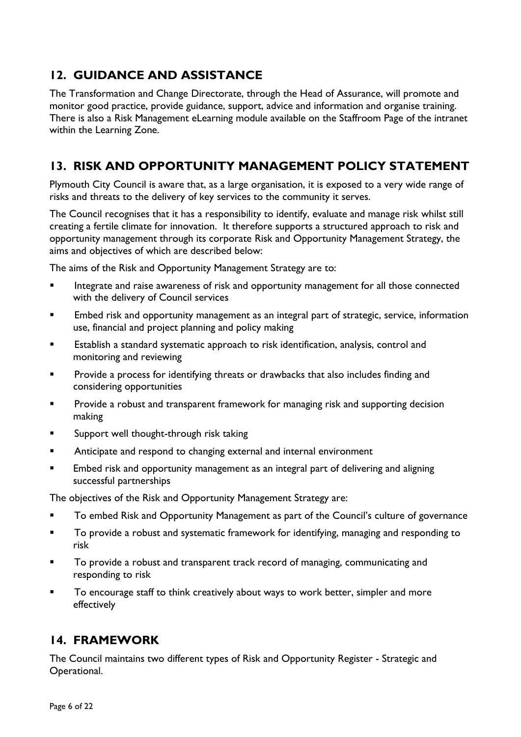# **12. GUIDANCE AND ASSISTANCE**

The Transformation and Change Directorate, through the Head of Assurance, will promote and monitor good practice, provide guidance, support, advice and information and organise training. There is also a Risk Management eLearning module available on the Staffroom Page of the intranet within the Learning Zone.

### **13. RISK AND OPPORTUNITY MANAGEMENT POLICY STATEMENT**

Plymouth City Council is aware that, as a large organisation, it is exposed to a very wide range of risks and threats to the delivery of key services to the community it serves.

The Council recognises that it has a responsibility to identify, evaluate and manage risk whilst still creating a fertile climate for innovation. It therefore supports a structured approach to risk and opportunity management through its corporate Risk and Opportunity Management Strategy, the aims and objectives of which are described below:

The aims of the Risk and Opportunity Management Strategy are to:

- **Integrate and raise awareness of risk and opportunity management for all those connected** with the delivery of Council services
- Embed risk and opportunity management as an integral part of strategic, service, information use, financial and project planning and policy making
- Establish a standard systematic approach to risk identification, analysis, control and monitoring and reviewing
- **Provide a process for identifying threats or drawbacks that also includes finding and** considering opportunities
- Provide a robust and transparent framework for managing risk and supporting decision making
- **Support well thought-through risk taking**
- Anticipate and respond to changing external and internal environment
- **Embed risk and opportunity management as an integral part of delivering and aligning** successful partnerships

The objectives of the Risk and Opportunity Management Strategy are:

- **To embed Risk and Opportunity Management as part of the Council's culture of governance**
- To provide a robust and systematic framework for identifying, managing and responding to risk
- To provide a robust and transparent track record of managing, communicating and responding to risk
- To encourage staff to think creatively about ways to work better, simpler and more effectively

### **14. FRAMEWORK**

The Council maintains two different types of Risk and Opportunity Register - Strategic and Operational.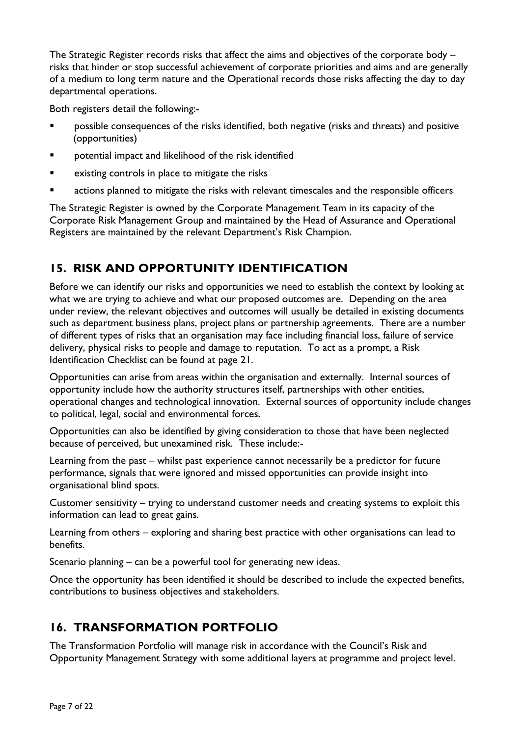The Strategic Register records risks that affect the aims and objectives of the corporate body – risks that hinder or stop successful achievement of corporate priorities and aims and are generally of a medium to long term nature and the Operational records those risks affecting the day to day departmental operations.

Both registers detail the following:-

- **•** possible consequences of the risks identified, both negative (risks and threats) and positive (opportunities)
- **Preportential impact and likelihood of the risk identified**
- **EXICUTE:** existing controls in place to mitigate the risks
- actions planned to mitigate the risks with relevant timescales and the responsible officers

The Strategic Register is owned by the Corporate Management Team in its capacity of the Corporate Risk Management Group and maintained by the Head of Assurance and Operational Registers are maintained by the relevant Department's Risk Champion.

### **15. RISK AND OPPORTUNITY IDENTIFICATION**

Before we can identify our risks and opportunities we need to establish the context by looking at what we are trying to achieve and what our proposed outcomes are. Depending on the area under review, the relevant objectives and outcomes will usually be detailed in existing documents such as department business plans, project plans or partnership agreements. There are a number of different types of risks that an organisation may face including financial loss, failure of service delivery, physical risks to people and damage to reputation. To act as a prompt, a Risk Identification Checklist can be found at page 21.

Opportunities can arise from areas within the organisation and externally. Internal sources of opportunity include how the authority structures itself, partnerships with other entities, operational changes and technological innovation. External sources of opportunity include changes to political, legal, social and environmental forces.

Opportunities can also be identified by giving consideration to those that have been neglected because of perceived, but unexamined risk. These include:-

Learning from the past – whilst past experience cannot necessarily be a predictor for future performance, signals that were ignored and missed opportunities can provide insight into organisational blind spots.

Customer sensitivity – trying to understand customer needs and creating systems to exploit this information can lead to great gains.

Learning from others – exploring and sharing best practice with other organisations can lead to benefits.

Scenario planning – can be a powerful tool for generating new ideas.

Once the opportunity has been identified it should be described to include the expected benefits, contributions to business objectives and stakeholders.

# **16. TRANSFORMATION PORTFOLIO**

The Transformation Portfolio will manage risk in accordance with the Council's Risk and Opportunity Management Strategy with some additional layers at programme and project level.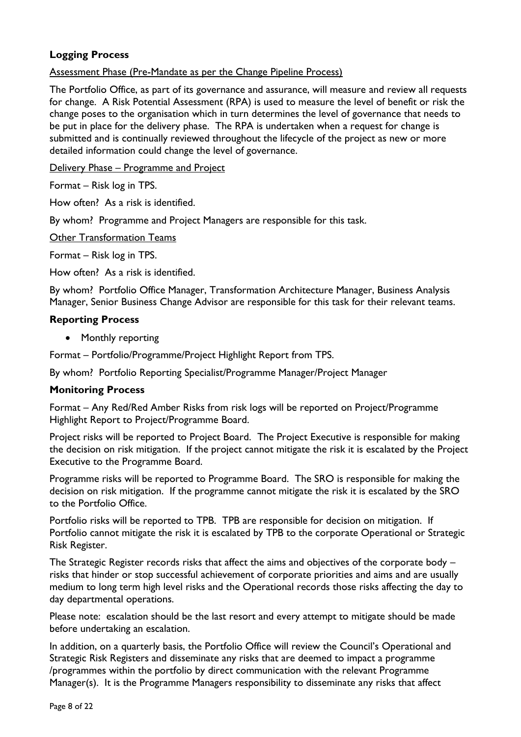### **Logging Process**

### Assessment Phase (Pre-Mandate as per the Change Pipeline Process)

The Portfolio Office, as part of its governance and assurance, will measure and review all requests for change. A Risk Potential Assessment (RPA) is used to measure the level of benefit or risk the change poses to the organisation which in turn determines the level of governance that needs to be put in place for the delivery phase. The RPA is undertaken when a request for change is submitted and is continually reviewed throughout the lifecycle of the project as new or more detailed information could change the level of governance.

Delivery Phase – Programme and Project

Format – Risk log in TPS.

How often? As a risk is identified.

By whom? Programme and Project Managers are responsible for this task.

Other Transformation Teams

Format – Risk log in TPS.

How often? As a risk is identified.

By whom? Portfolio Office Manager, Transformation Architecture Manager, Business Analysis Manager, Senior Business Change Advisor are responsible for this task for their relevant teams.

#### **Reporting Process**

• Monthly reporting

Format – Portfolio/Programme/Project Highlight Report from TPS.

By whom? Portfolio Reporting Specialist/Programme Manager/Project Manager

### **Monitoring Process**

Format – Any Red/Red Amber Risks from risk logs will be reported on Project/Programme Highlight Report to Project/Programme Board.

Project risks will be reported to Project Board. The Project Executive is responsible for making the decision on risk mitigation. If the project cannot mitigate the risk it is escalated by the Project Executive to the Programme Board.

Programme risks will be reported to Programme Board. The SRO is responsible for making the decision on risk mitigation. If the programme cannot mitigate the risk it is escalated by the SRO to the Portfolio Office.

Portfolio risks will be reported to TPB. TPB are responsible for decision on mitigation. If Portfolio cannot mitigate the risk it is escalated by TPB to the corporate Operational or Strategic Risk Register.

The Strategic Register records risks that affect the aims and objectives of the corporate body – risks that hinder or stop successful achievement of corporate priorities and aims and are usually medium to long term high level risks and the Operational records those risks affecting the day to day departmental operations.

Please note: escalation should be the last resort and every attempt to mitigate should be made before undertaking an escalation.

In addition, on a quarterly basis, the Portfolio Office will review the Council's Operational and Strategic Risk Registers and disseminate any risks that are deemed to impact a programme /programmes within the portfolio by direct communication with the relevant Programme Manager(s). It is the Programme Managers responsibility to disseminate any risks that affect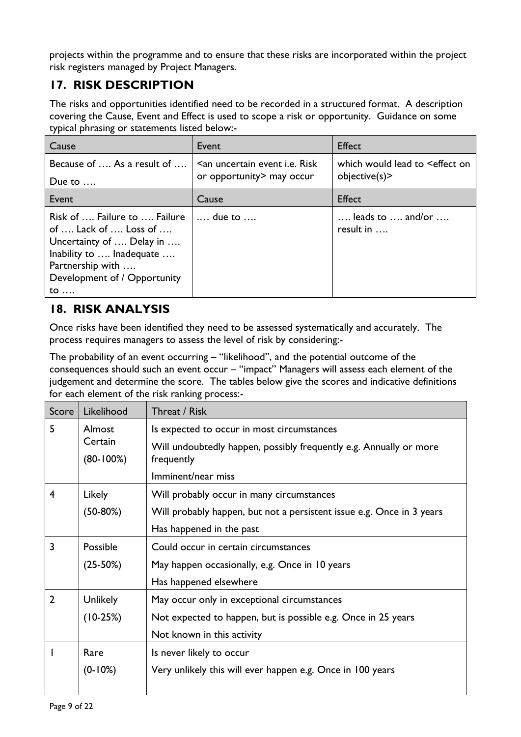projects within the programme and to ensure that these risks are incorporated within the project risk registers managed by Project Managers.

# **17. RISK DESCRIPTION**

The risks and opportunities identified need to be recorded in a structured format. A description covering the Cause, Event and Effect is used to scope a risk or opportunity. Guidance on some typical phrasing or statements listed below:-

| Cause                                                                                                                                                                                   | Event                                                                           | <b>Effect</b>                                                    |
|-----------------------------------------------------------------------------------------------------------------------------------------------------------------------------------------|---------------------------------------------------------------------------------|------------------------------------------------------------------|
| Because of  As a result of<br>Due to $\dots$                                                                                                                                            | <an <i="" event="" uncertain="">i.e. Risk<br/>or opportunity&gt; may occur</an> | which would lead to Seffect on<br>objective(s)                   |
| Event                                                                                                                                                                                   | Cause                                                                           | <b>Effect</b>                                                    |
| Risk of  Failure to  Failure<br>of  Lack of  Loss of<br>Uncertainty of  Delay in<br>Inability to  Inadequate<br>Partnership with<br>Development of / Opportunity<br>$\mathsf{to} \dots$ | $\ldots$ due to $\ldots$                                                        | $\ldots$ leads to $\ldots$ and/or $\ldots$<br>result in $\ldots$ |

# **18. RISK ANALYSIS**

Once risks have been identified they need to be assessed systematically and accurately. The process requires managers to assess the level of risk by considering:-

The probability of an event occurring – "likelihood", and the potential outcome of the consequences should such an event occur – "impact" Managers will assess each element of the judgement and determine the score. The tables below give the scores and indicative definitions for each element of the risk ranking process:-

| Score          | Likelihood             | Threat / Risk                                                                    |
|----------------|------------------------|----------------------------------------------------------------------------------|
| 5              | Almost                 | Is expected to occur in most circumstances                                       |
|                | Certain<br>$(80-100%)$ | Will undoubtedly happen, possibly frequently e.g. Annually or more<br>frequently |
|                |                        | Imminent/near miss                                                               |
| $\overline{4}$ | Likely                 | Will probably occur in many circumstances                                        |
|                | $(50-80%)$             | Will probably happen, but not a persistent issue e.g. Once in 3 years            |
|                |                        | Has happened in the past                                                         |
| 3              | Possible               | Could occur in certain circumstances                                             |
|                | $(25-50%)$             | May happen occasionally, e.g. Once in 10 years                                   |
|                |                        | Has happened elsewhere                                                           |
| $\overline{2}$ | <b>Unlikely</b>        | May occur only in exceptional circumstances                                      |
|                | $(10-25%)$             | Not expected to happen, but is possible e.g. Once in 25 years                    |
|                |                        | Not known in this activity                                                       |
|                | Rare                   | Is never likely to occur                                                         |
|                | $(0-10%)$              | Very unlikely this will ever happen e.g. Once in 100 years                       |
|                |                        |                                                                                  |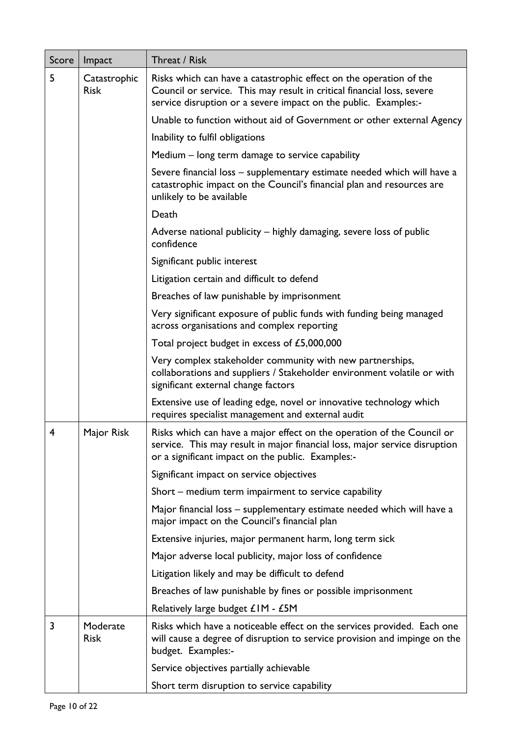| Score | Impact                      | Threat / Risk                                                                                                                                                                                                   |
|-------|-----------------------------|-----------------------------------------------------------------------------------------------------------------------------------------------------------------------------------------------------------------|
| 5     | Catastrophic<br><b>Risk</b> | Risks which can have a catastrophic effect on the operation of the<br>Council or service. This may result in critical financial loss, severe<br>service disruption or a severe impact on the public. Examples:- |
|       |                             | Unable to function without aid of Government or other external Agency                                                                                                                                           |
|       |                             | Inability to fulfil obligations                                                                                                                                                                                 |
|       |                             | Medium – long term damage to service capability                                                                                                                                                                 |
|       |                             | Severe financial loss - supplementary estimate needed which will have a<br>catastrophic impact on the Council's financial plan and resources are<br>unlikely to be available                                    |
|       |                             | Death                                                                                                                                                                                                           |
|       |                             | Adverse national publicity – highly damaging, severe loss of public<br>confidence                                                                                                                               |
|       |                             | Significant public interest                                                                                                                                                                                     |
|       |                             | Litigation certain and difficult to defend                                                                                                                                                                      |
|       |                             | Breaches of law punishable by imprisonment                                                                                                                                                                      |
|       |                             | Very significant exposure of public funds with funding being managed<br>across organisations and complex reporting                                                                                              |
|       |                             | Total project budget in excess of £5,000,000                                                                                                                                                                    |
|       |                             | Very complex stakeholder community with new partnerships,<br>collaborations and suppliers / Stakeholder environment volatile or with<br>significant external change factors                                     |
|       |                             | Extensive use of leading edge, novel or innovative technology which<br>requires specialist management and external audit                                                                                        |
| 4     | Major Risk                  | Risks which can have a major effect on the operation of the Council or<br>service. This may result in major financial loss, major service disruption<br>or a significant impact on the public. Examples:-       |
|       |                             | Significant impact on service objectives                                                                                                                                                                        |
|       |                             | Short – medium term impairment to service capability                                                                                                                                                            |
|       |                             | Major financial loss – supplementary estimate needed which will have a<br>major impact on the Council's financial plan                                                                                          |
|       |                             | Extensive injuries, major permanent harm, long term sick                                                                                                                                                        |
|       |                             | Major adverse local publicity, major loss of confidence                                                                                                                                                         |
|       |                             | Litigation likely and may be difficult to defend                                                                                                                                                                |
|       |                             | Breaches of law punishable by fines or possible imprisonment                                                                                                                                                    |
|       |                             | Relatively large budget £IM - £5M                                                                                                                                                                               |
| 3     | Moderate<br><b>Risk</b>     | Risks which have a noticeable effect on the services provided. Each one<br>will cause a degree of disruption to service provision and impinge on the<br>budget. Examples:-                                      |
|       |                             | Service objectives partially achievable                                                                                                                                                                         |
|       |                             | Short term disruption to service capability                                                                                                                                                                     |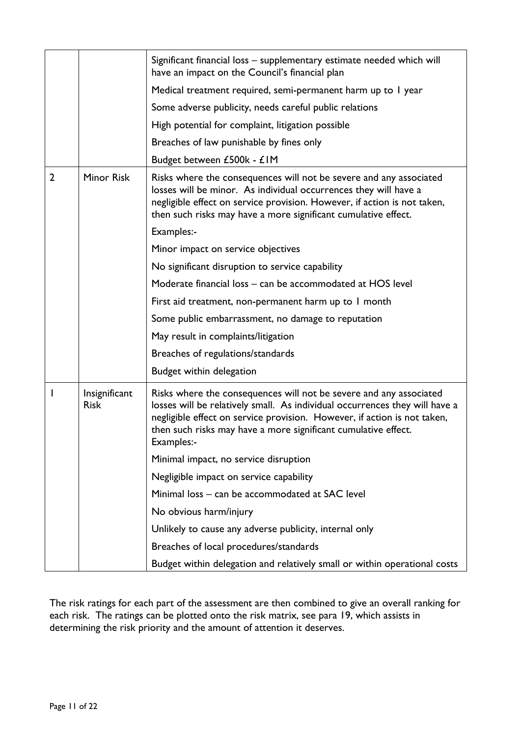|                |                              | Significant financial loss - supplementary estimate needed which will<br>have an impact on the Council's financial plan                                                                                                                                                                                       |
|----------------|------------------------------|---------------------------------------------------------------------------------------------------------------------------------------------------------------------------------------------------------------------------------------------------------------------------------------------------------------|
|                |                              | Medical treatment required, semi-permanent harm up to I year                                                                                                                                                                                                                                                  |
|                |                              | Some adverse publicity, needs careful public relations                                                                                                                                                                                                                                                        |
|                |                              | High potential for complaint, litigation possible                                                                                                                                                                                                                                                             |
|                |                              | Breaches of law punishable by fines only                                                                                                                                                                                                                                                                      |
|                |                              | Budget between £500k - £IM                                                                                                                                                                                                                                                                                    |
| $\overline{2}$ | <b>Minor Risk</b>            | Risks where the consequences will not be severe and any associated<br>losses will be minor. As individual occurrences they will have a<br>negligible effect on service provision. However, if action is not taken,<br>then such risks may have a more significant cumulative effect.                          |
|                |                              | Examples:-                                                                                                                                                                                                                                                                                                    |
|                |                              | Minor impact on service objectives                                                                                                                                                                                                                                                                            |
|                |                              | No significant disruption to service capability                                                                                                                                                                                                                                                               |
|                |                              | Moderate financial loss – can be accommodated at HOS level                                                                                                                                                                                                                                                    |
|                |                              | First aid treatment, non-permanent harm up to I month                                                                                                                                                                                                                                                         |
|                |                              | Some public embarrassment, no damage to reputation                                                                                                                                                                                                                                                            |
|                |                              | May result in complaints/litigation                                                                                                                                                                                                                                                                           |
|                |                              | Breaches of regulations/standards                                                                                                                                                                                                                                                                             |
|                |                              | Budget within delegation                                                                                                                                                                                                                                                                                      |
| I              | Insignificant<br><b>Risk</b> | Risks where the consequences will not be severe and any associated<br>losses will be relatively small. As individual occurrences they will have a<br>negligible effect on service provision. However, if action is not taken,<br>then such risks may have a more significant cumulative effect.<br>Examples:- |
|                |                              | Minimal impact, no service disruption                                                                                                                                                                                                                                                                         |
|                |                              | Negligible impact on service capability                                                                                                                                                                                                                                                                       |
|                |                              | Minimal loss - can be accommodated at SAC level                                                                                                                                                                                                                                                               |
|                |                              | No obvious harm/injury                                                                                                                                                                                                                                                                                        |
|                |                              | Unlikely to cause any adverse publicity, internal only                                                                                                                                                                                                                                                        |
|                |                              | Breaches of local procedures/standards                                                                                                                                                                                                                                                                        |
|                |                              | Budget within delegation and relatively small or within operational costs                                                                                                                                                                                                                                     |

The risk ratings for each part of the assessment are then combined to give an overall ranking for each risk. The ratings can be plotted onto the risk matrix, see para 19, which assists in determining the risk priority and the amount of attention it deserves.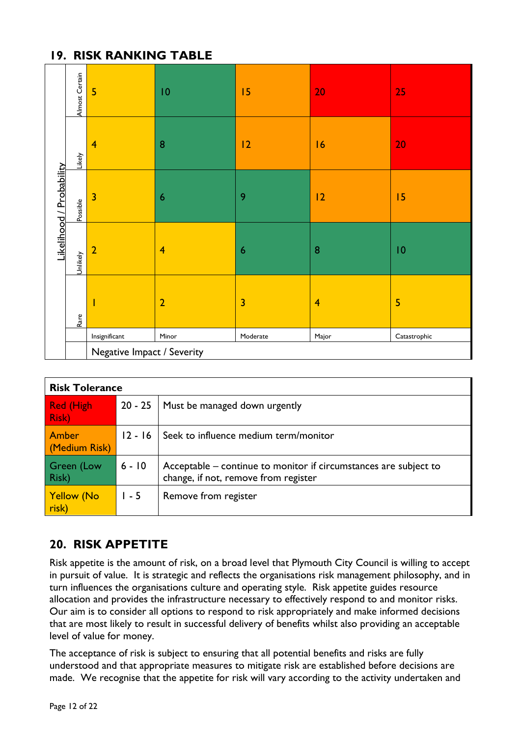### **19. RISK RANKING TABLE**

|                          | Almost Certain | 5                                                                                                                                                                                                      | 10               | 15                      | 20             | 25              |  |
|--------------------------|----------------|--------------------------------------------------------------------------------------------------------------------------------------------------------------------------------------------------------|------------------|-------------------------|----------------|-----------------|--|
|                          | Likely         | $\overline{\mathbf{4}}$                                                                                                                                                                                | ${\bf 8}$        | 12                      | 16             | 20              |  |
| Likelihood / Probability | Possible       | $\overline{\mathbf{3}}$                                                                                                                                                                                | $\boldsymbol{6}$ | 9                       | 12             | 15              |  |
|                          | Unlikely       | $\overline{2}$                                                                                                                                                                                         | $\overline{4}$   | $\boldsymbol{6}$        | 8              | $\overline{10}$ |  |
|                          | Rare           |                                                                                                                                                                                                        | $\overline{2}$   | $\overline{\mathbf{3}}$ | $\overline{4}$ | 5               |  |
|                          |                | $\label{eq:insign} \begin{minipage}{.4\linewidth} \begin{minipage}{.4\linewidth} \begin{tabular}{l} \textbf{Insignificant} \end{tabular} \end{minipage}$<br>Moderate<br>Minor<br>Major<br>Catastrophic |                  |                         |                |                 |  |
|                          |                | Negative Impact / Severity                                                                                                                                                                             |                  |                         |                |                 |  |

|                                   | <b>Risk Tolerance</b> |                                                                                                          |  |  |  |
|-----------------------------------|-----------------------|----------------------------------------------------------------------------------------------------------|--|--|--|
| <b>Red (High</b><br><b>Risk</b> ) | $20 - 25$             | Must be managed down urgently                                                                            |  |  |  |
| Amber<br>(Medium Risk)            | $12 - 16$             | Seek to influence medium term/monitor                                                                    |  |  |  |
| Green (Low<br>Risk)               | $6 - 10$              | Acceptable – continue to monitor if circumstances are subject to<br>change, if not, remove from register |  |  |  |
| <b>Yellow (No</b><br>risk)        | $1 - 5$               | Remove from register                                                                                     |  |  |  |

# **20. RISK APPETITE**

Risk appetite is the amount of risk, on a broad level that Plymouth City Council is willing to accept in pursuit of value. It is strategic and reflects the organisations risk management philosophy, and in turn influences the organisations culture and operating style. Risk appetite guides resource allocation and provides the infrastructure necessary to effectively respond to and monitor risks. Our aim is to consider all options to respond to risk appropriately and make informed decisions that are most likely to result in successful delivery of benefits whilst also providing an acceptable level of value for money.

The acceptance of risk is subject to ensuring that all potential benefits and risks are fully understood and that appropriate measures to mitigate risk are established before decisions are made. We recognise that the appetite for risk will vary according to the activity undertaken and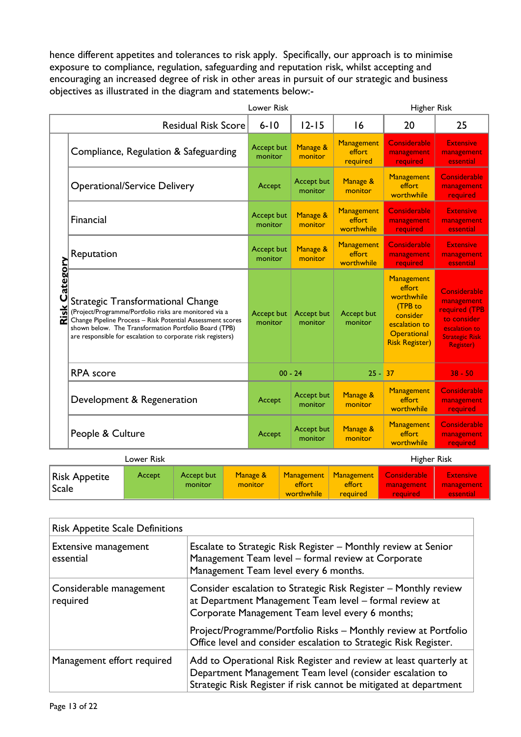hence different appetites and tolerances to risk apply. Specifically, our approach is to minimise exposure to compliance, regulation, safeguarding and reputation risk, whilst accepting and encouraging an increased degree of risk in other areas in pursuit of our strategic and business objectives as illustrated in the diagram and statements below:-

| Lower Risk |                                                                                                                                                                                                                                                                                                           |            |                                       | Higher Risk                  |                       |                                    |                                                                                                                    |                                                                                                                           |
|------------|-----------------------------------------------------------------------------------------------------------------------------------------------------------------------------------------------------------------------------------------------------------------------------------------------------------|------------|---------------------------------------|------------------------------|-----------------------|------------------------------------|--------------------------------------------------------------------------------------------------------------------|---------------------------------------------------------------------------------------------------------------------------|
|            |                                                                                                                                                                                                                                                                                                           |            | <b>Residual Risk Score</b>            | $6 - 10$                     | $12 - 15$             | 16                                 | 20                                                                                                                 | 25                                                                                                                        |
|            |                                                                                                                                                                                                                                                                                                           |            | Compliance, Regulation & Safeguarding | Accept but<br>monitor        | Manage &<br>monitor   | Management<br>effort<br>required   | <b>Considerable</b><br>management<br>required                                                                      | <b>Extensive</b><br>management<br>essential                                                                               |
|            | <b>Operational/Service Delivery</b>                                                                                                                                                                                                                                                                       |            | Accept                                | Accept but<br>monitor        | Manage &<br>monitor   | Management<br>effort<br>worthwhile | Considerable<br>management<br>required                                                                             |                                                                                                                           |
|            | <b>Financial</b>                                                                                                                                                                                                                                                                                          |            |                                       | Accept but<br>monitor        | Manage &<br>monitor   | Management<br>effort<br>worthwhile | <b>Considerable</b><br>management<br>required                                                                      | <b>Extensive</b><br>management<br>essential                                                                               |
|            | Reputation                                                                                                                                                                                                                                                                                                |            |                                       | <b>Accept but</b><br>monitor | Manage &<br>monitor   | Management<br>effort<br>worthwhile | <b>Considerable</b><br>management<br>required                                                                      | <b>Extensive</b><br>management<br>essential                                                                               |
|            | <b>Risk Category</b><br>Strategic Transformational Change<br>(Project/Programme/Portfolio risks are monitored via a<br>Change Pipeline Process - Risk Potential Assessment scores<br>shown below. The Transformation Portfolio Board (TPB)<br>are responsible for escalation to corporate risk registers) |            |                                       | Accept but<br>monitor        | Accept but<br>monitor | Accept but<br>monitor              | Management<br>effort<br>worthwhile<br>(TPB to<br>consider<br>escalation to<br>Operational<br><b>Risk Register)</b> | Considerable<br>management<br>required (TPB<br>to consider<br>escalation to<br><b>Strategic Risk</b><br><b>Register</b> ) |
|            | <b>RPA</b> score                                                                                                                                                                                                                                                                                          |            |                                       |                              | $00 - 24$             | $25 - 37$                          |                                                                                                                    | $38 - 50$                                                                                                                 |
|            | Development & Regeneration                                                                                                                                                                                                                                                                                |            |                                       | Accept                       | Accept but<br>monitor | Manage &<br>monitor                | Management<br>effort<br>worthwhile                                                                                 | <b>Considerable</b><br>management<br>required                                                                             |
|            | People & Culture                                                                                                                                                                                                                                                                                          |            |                                       | Accept                       | Accept but<br>monitor | Manage &<br>monitor                | Management<br>effort<br>worthwhile                                                                                 | <b>Considerable</b><br>management<br>required                                                                             |
|            |                                                                                                                                                                                                                                                                                                           | Lower Risk |                                       |                              |                       |                                    | <b>Higher Risk</b>                                                                                                 |                                                                                                                           |
|            | Rick Annotito                                                                                                                                                                                                                                                                                             | Accept     | Accept but                            | Manage &                     | <b>Management</b>     | Management                         | Considerable                                                                                                       | <b>Extensive</b>                                                                                                          |

| <b>Risk Appetite</b><br>Accept but<br>Accept<br>monitor<br>  Scale | Manage &<br>monitor | Management<br>effort<br>worthwhile | Management<br>effort<br>required | Considerable<br>management<br>required | <b>Extensive</b><br>management<br>essential |
|--------------------------------------------------------------------|---------------------|------------------------------------|----------------------------------|----------------------------------------|---------------------------------------------|

| <b>Risk Appetite Scale Definitions</b>   |                                                                                                                                                                                                    |  |  |
|------------------------------------------|----------------------------------------------------------------------------------------------------------------------------------------------------------------------------------------------------|--|--|
| <b>Extensive management</b><br>essential | Escalate to Strategic Risk Register - Monthly review at Senior<br>Management Team level - formal review at Corporate<br>Management Team level every 6 months.                                      |  |  |
| Considerable management<br>required      | Consider escalation to Strategic Risk Register – Monthly review<br>at Department Management Team level - formal review at<br>Corporate Management Team level every 6 months;                       |  |  |
|                                          | Project/Programme/Portfolio Risks - Monthly review at Portfolio<br>Office level and consider escalation to Strategic Risk Register.                                                                |  |  |
| Management effort required               | Add to Operational Risk Register and review at least quarterly at<br>Department Management Team level (consider escalation to<br>Strategic Risk Register if risk cannot be mitigated at department |  |  |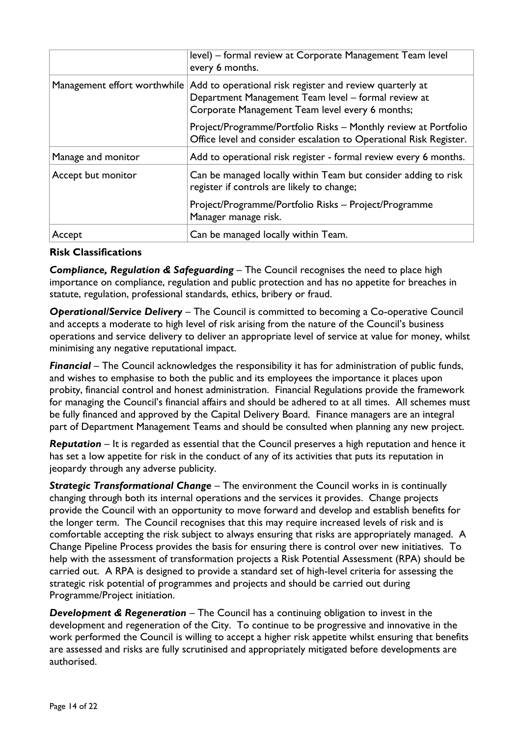|                              | level) – formal review at Corporate Management Team level<br>every 6 months.                                                                                       |  |
|------------------------------|--------------------------------------------------------------------------------------------------------------------------------------------------------------------|--|
| Management effort worthwhile | Add to operational risk register and review quarterly at<br>Department Management Team level - formal review at<br>Corporate Management Team level every 6 months; |  |
|                              | Project/Programme/Portfolio Risks - Monthly review at Portfolio<br>Office level and consider escalation to Operational Risk Register.                              |  |
| Manage and monitor           | Add to operational risk register - formal review every 6 months.                                                                                                   |  |
| Accept but monitor           | Can be managed locally within Team but consider adding to risk<br>register if controls are likely to change;                                                       |  |
|                              | Project/Programme/Portfolio Risks - Project/Programme<br>Manager manage risk.                                                                                      |  |
| Accept                       | Can be managed locally within Team.                                                                                                                                |  |

### **Risk Classifications**

*Compliance, Regulation & Safeguarding* – The Council recognises the need to place high importance on compliance, regulation and public protection and has no appetite for breaches in statute, regulation, professional standards, ethics, bribery or fraud.

*Operational/Service Delivery* – The Council is committed to becoming a Co-operative Council and accepts a moderate to high level of risk arising from the nature of the Council's business operations and service delivery to deliver an appropriate level of service at value for money, whilst minimising any negative reputational impact.

*Financial* – The Council acknowledges the responsibility it has for administration of public funds, and wishes to emphasise to both the public and its employees the importance it places upon probity, financial control and honest administration. Financial Regulations provide the framework for managing the Council's financial affairs and should be adhered to at all times. All schemes must be fully financed and approved by the Capital Delivery Board. Finance managers are an integral part of Department Management Teams and should be consulted when planning any new project.

*Reputation* – It is regarded as essential that the Council preserves a high reputation and hence it has set a low appetite for risk in the conduct of any of its activities that puts its reputation in jeopardy through any adverse publicity.

*Strategic Transformational Change* – The environment the Council works in is continually changing through both its internal operations and the services it provides. Change projects provide the Council with an opportunity to move forward and develop and establish benefits for the longer term. The Council recognises that this may require increased levels of risk and is comfortable accepting the risk subject to always ensuring that risks are appropriately managed. A Change Pipeline Process provides the basis for ensuring there is control over new initiatives. To help with the assessment of transformation projects a Risk Potential Assessment (RPA) should be carried out. A RPA is designed to provide a standard set of high-level criteria for assessing the strategic risk potential of programmes and projects and should be carried out during Programme/Project initiation.

**Development & Regeneration** – The Council has a continuing obligation to invest in the development and regeneration of the City. To continue to be progressive and innovative in the work performed the Council is willing to accept a higher risk appetite whilst ensuring that benefits are assessed and risks are fully scrutinised and appropriately mitigated before developments are authorised.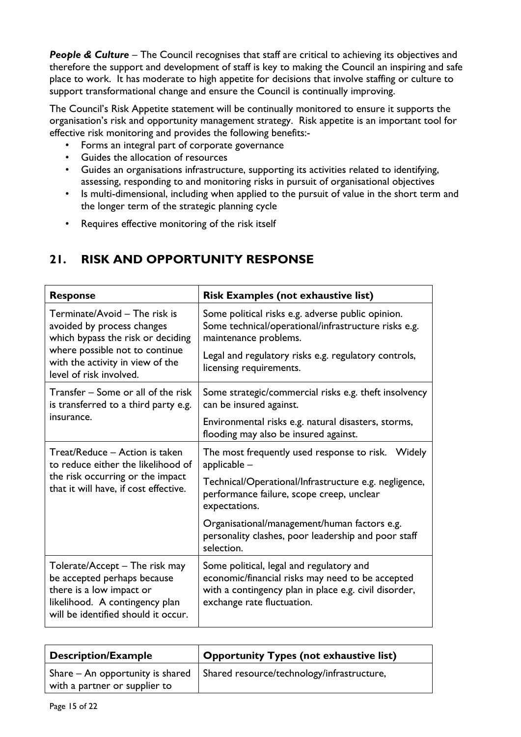**People & Culture** – The Council recognises that staff are critical to achieving its objectives and therefore the support and development of staff is key to making the Council an inspiring and safe place to work. It has moderate to high appetite for decisions that involve staffing or culture to support transformational change and ensure the Council is continually improving.

The Council's Risk Appetite statement will be continually monitored to ensure it supports the organisation's risk and opportunity management strategy. Risk appetite is an important tool for effective risk monitoring and provides the following benefits:-

- Forms an integral part of corporate governance
- Guides the allocation of resources
- Guides an organisations infrastructure, supporting its activities related to identifying, assessing, responding to and monitoring risks in pursuit of organisational objectives
- Is multi-dimensional, including when applied to the pursuit of value in the short term and the longer term of the strategic planning cycle
- Requires effective monitoring of the risk itself

| <b>Response</b>                                                                                                                                                                                   | <b>Risk Examples (not exhaustive list)</b>                                                                                                                                                                            |
|---------------------------------------------------------------------------------------------------------------------------------------------------------------------------------------------------|-----------------------------------------------------------------------------------------------------------------------------------------------------------------------------------------------------------------------|
| Terminate/Avoid - The risk is<br>avoided by process changes<br>which bypass the risk or deciding<br>where possible not to continue<br>with the activity in view of the<br>level of risk involved. | Some political risks e.g. adverse public opinion.<br>Some technical/operational/infrastructure risks e.g.<br>maintenance problems.<br>Legal and regulatory risks e.g. regulatory controls,<br>licensing requirements. |
| Transfer – Some or all of the risk<br>is transferred to a third party e.g.                                                                                                                        | Some strategic/commercial risks e.g. theft insolvency<br>can be insured against.                                                                                                                                      |
| insurance.                                                                                                                                                                                        | Environmental risks e.g. natural disasters, storms,<br>flooding may also be insured against.                                                                                                                          |
| Treat/Reduce - Action is taken<br>to reduce either the likelihood of<br>the risk occurring or the impact<br>that it will have, if cost effective.                                                 | The most frequently used response to risk. Widely<br>$appliedbe -$                                                                                                                                                    |
|                                                                                                                                                                                                   | Technical/Operational/Infrastructure e.g. negligence,<br>performance failure, scope creep, unclear<br>expectations.                                                                                                   |
|                                                                                                                                                                                                   | Organisational/management/human factors e.g.<br>personality clashes, poor leadership and poor staff<br>selection.                                                                                                     |
| Tolerate/Accept – The risk may<br>be accepted perhaps because<br>there is a low impact or<br>likelihood. A contingency plan<br>will be identified should it occur.                                | Some political, legal and regulatory and<br>economic/financial risks may need to be accepted<br>with a contingency plan in place e.g. civil disorder,<br>exchange rate fluctuation.                                   |

# **21. RISK AND OPPORTUNITY RESPONSE**

| <b>Description/Example</b>    | Opportunity Types (not exhaustive list)                                                 |
|-------------------------------|-----------------------------------------------------------------------------------------|
| with a partner or supplier to | Share – An opportunity is shared $\parallel$ Shared resource/technology/infrastructure, |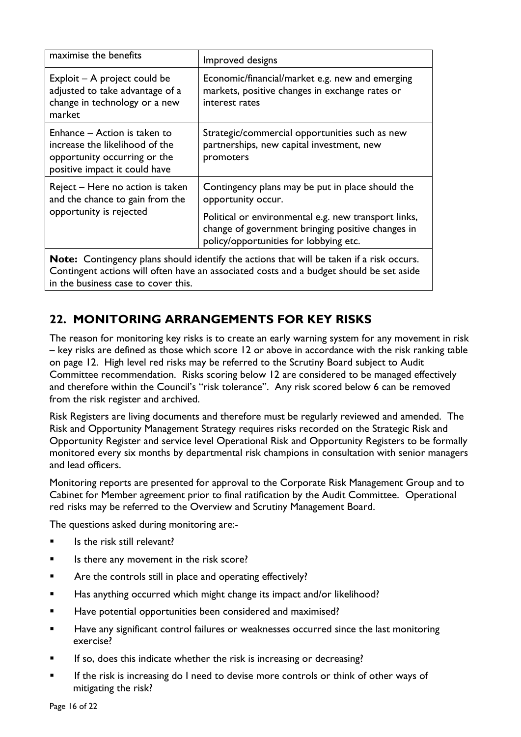| maximise the benefits                                                                                                                                                                      | Improved designs                                                                                                                                    |  |
|--------------------------------------------------------------------------------------------------------------------------------------------------------------------------------------------|-----------------------------------------------------------------------------------------------------------------------------------------------------|--|
| Exploit – A project could be<br>adjusted to take advantage of a<br>change in technology or a new<br>market                                                                                 | Economic/financial/market e.g. new and emerging<br>markets, positive changes in exchange rates or<br>interest rates                                 |  |
| Enhance – Action is taken to<br>increase the likelihood of the<br>opportunity occurring or the<br>positive impact it could have                                                            | Strategic/commercial opportunities such as new<br>partnerships, new capital investment, new<br>promoters                                            |  |
| Reject – Here no action is taken<br>and the chance to gain from the<br>opportunity is rejected                                                                                             | Contingency plans may be put in place should the<br>opportunity occur.                                                                              |  |
|                                                                                                                                                                                            | Political or environmental e.g. new transport links,<br>change of government bringing positive changes in<br>policy/opportunities for lobbying etc. |  |
| <b>Note:</b> Contingency plans should identify the actions that will be taken if a risk occurs.<br>Contingent actions will often have an associated costs and a budget should be set aside |                                                                                                                                                     |  |

in the business case to cover this.

### **22. MONITORING ARRANGEMENTS FOR KEY RISKS**

The reason for monitoring key risks is to create an early warning system for any movement in risk – key risks are defined as those which score 12 or above in accordance with the risk ranking table on page 12. High level red risks may be referred to the Scrutiny Board subject to Audit Committee recommendation. Risks scoring below 12 are considered to be managed effectively and therefore within the Council's "risk tolerance". Any risk scored below 6 can be removed from the risk register and archived.

Risk Registers are living documents and therefore must be regularly reviewed and amended. The Risk and Opportunity Management Strategy requires risks recorded on the Strategic Risk and Opportunity Register and service level Operational Risk and Opportunity Registers to be formally monitored every six months by departmental risk champions in consultation with senior managers and lead officers.

Monitoring reports are presented for approval to the Corporate Risk Management Group and to Cabinet for Member agreement prior to final ratification by the Audit Committee. Operational red risks may be referred to the Overview and Scrutiny Management Board.

The questions asked during monitoring are:-

- Is the risk still relevant?
- Is there any movement in the risk score?
- **EXECT** Are the controls still in place and operating effectively?
- **Has anything occurred which might change its impact and/or likelihood?**
- Have potential opportunities been considered and maximised?
- **Have any significant control failures or weaknesses occurred since the last monitoring** exercise?
- If so, does this indicate whether the risk is increasing or decreasing?
- If the risk is increasing do I need to devise more controls or think of other ways of mitigating the risk?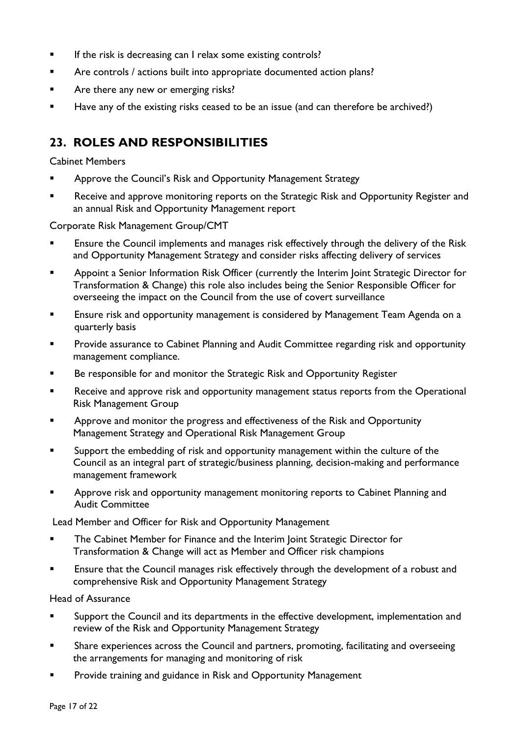- **If the risk is decreasing can I relax some existing controls?**
- Are controls / actions built into appropriate documented action plans?
- **Are there any new or emerging risks?**
- Have any of the existing risks ceased to be an issue (and can therefore be archived?)

### **23. ROLES AND RESPONSIBILITIES**

#### Cabinet Members

- **EXECO** Approve the Council's Risk and Opportunity Management Strategy
- **Receive and approve monitoring reports on the Strategic Risk and Opportunity Register and** an annual Risk and Opportunity Management report

Corporate Risk Management Group/CMT

- **Ensure the Council implements and manages risk effectively through the delivery of the Risk** and Opportunity Management Strategy and consider risks affecting delivery of services
- **Appoint a Senior Information Risk Officer (currently the Interim Joint Strategic Director for** Transformation & Change) this role also includes being the Senior Responsible Officer for overseeing the impact on the Council from the use of covert surveillance
- **Ensure risk and opportunity management is considered by Management Team Agenda on a** quarterly basis
- Provide assurance to Cabinet Planning and Audit Committee regarding risk and opportunity management compliance.
- Be responsible for and monitor the Strategic Risk and Opportunity Register
- **Receive and approve risk and opportunity management status reports from the Operational** Risk Management Group
- **EXECT** Approve and monitor the progress and effectiveness of the Risk and Opportunity Management Strategy and Operational Risk Management Group
- **Support the embedding of risk and opportunity management within the culture of the** Council as an integral part of strategic/business planning, decision-making and performance management framework
- **Approve risk and opportunity management monitoring reports to Cabinet Planning and** Audit Committee

Lead Member and Officer for Risk and Opportunity Management

- The Cabinet Member for Finance and the Interim Joint Strategic Director for Transformation & Change will act as Member and Officer risk champions
- **Ensure that the Council manages risk effectively through the development of a robust and** comprehensive Risk and Opportunity Management Strategy

Head of Assurance

- **Support the Council and its departments in the effective development, implementation and** review of the Risk and Opportunity Management Strategy
- Share experiences across the Council and partners, promoting, facilitating and overseeing the arrangements for managing and monitoring of risk
- Provide training and guidance in Risk and Opportunity Management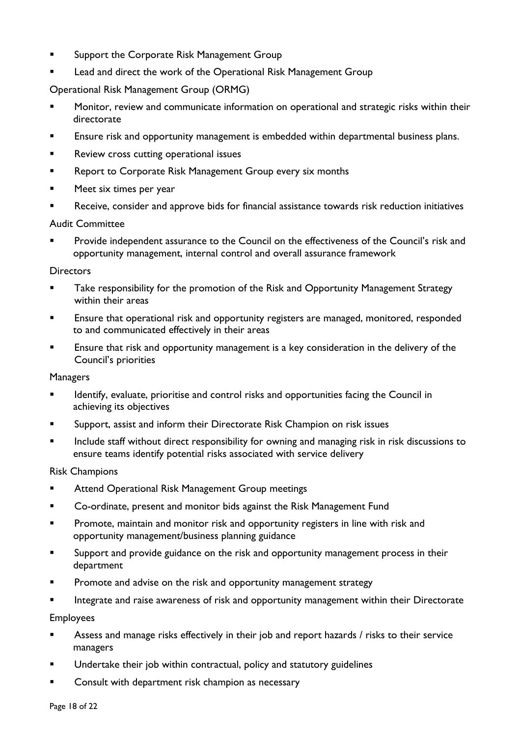- **Support the Corporate Risk Management Group**
- Lead and direct the work of the Operational Risk Management Group

Operational Risk Management Group (ORMG)

- Monitor, review and communicate information on operational and strategic risks within their directorate
- Ensure risk and opportunity management is embedded within departmental business plans.
- **Review cross cutting operational issues**
- **Report to Corporate Risk Management Group every six months**
- **Meet six times per year**
- Receive, consider and approve bids for financial assistance towards risk reduction initiatives

#### Audit Committee

 Provide independent assurance to the Council on the effectiveness of the Council's risk and opportunity management, internal control and overall assurance framework

#### **Directors**

- Take responsibility for the promotion of the Risk and Opportunity Management Strategy within their areas
- **Ensure that operational risk and opportunity registers are managed, monitored, responded** to and communicated effectively in their areas
- Ensure that risk and opportunity management is a key consideration in the delivery of the Council's priorities

#### Managers

- **IDENTIFY, evaluate, prioritise and control risks and opportunities facing the Council in** achieving its objectives
- Support, assist and inform their Directorate Risk Champion on risk issues
- **Include staff without direct responsibility for owning and managing risk in risk discussions to** ensure teams identify potential risks associated with service delivery

#### Risk Champions

- **EXECTE Attend Operational Risk Management Group meetings**
- **EXEDENT** Co-ordinate, present and monitor bids against the Risk Management Fund
- **Promote, maintain and monitor risk and opportunity registers in line with risk and** opportunity management/business planning guidance
- **Support and provide guidance on the risk and opportunity management process in their** department
- Promote and advise on the risk and opportunity management strategy
- Integrate and raise awareness of risk and opportunity management within their Directorate

Employees

- **Assess and manage risks effectively in their job and report hazards / risks to their service** managers
- Undertake their job within contractual, policy and statutory guidelines
- Consult with department risk champion as necessary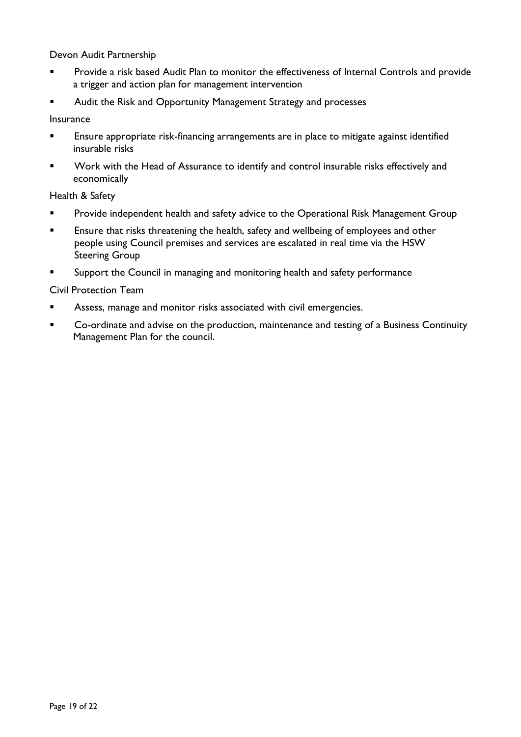Devon Audit Partnership

- Provide a risk based Audit Plan to monitor the effectiveness of Internal Controls and provide a trigger and action plan for management intervention
- Audit the Risk and Opportunity Management Strategy and processes

Insurance

- **Ensure appropriate risk-financing arrangements are in place to mitigate against identified** insurable risks
- **Work with the Head of Assurance to identify and control insurable risks effectively and** economically

Health & Safety

- **Provide independent health and safety advice to the Operational Risk Management Group**
- **Ensure that risks threatening the health, safety and wellbeing of employees and other** people using Council premises and services are escalated in real time via the HSW Steering Group
- **Support the Council in managing and monitoring health and safety performance**

Civil Protection Team

- Assess, manage and monitor risks associated with civil emergencies.
- **Co-ordinate and advise on the production, maintenance and testing of a Business Continuity** Management Plan for the council.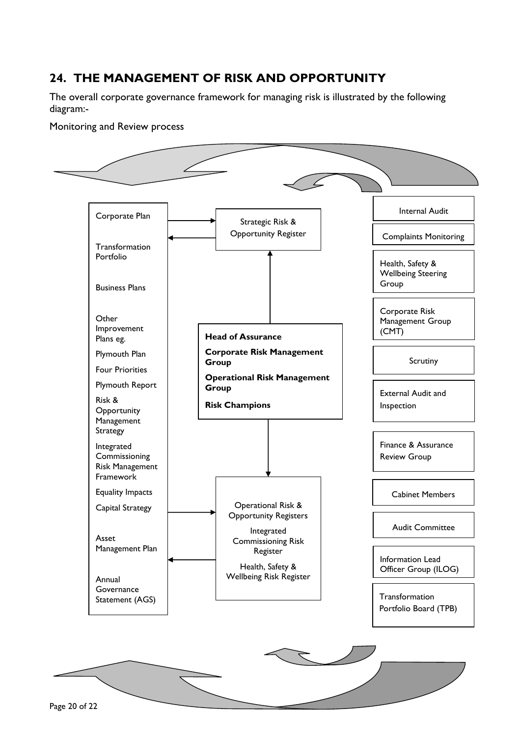# **24. THE MANAGEMENT OF RISK AND OPPORTUNITY**

The overall corporate governance framework for managing risk is illustrated by the following diagram:-

Monitoring and Review process

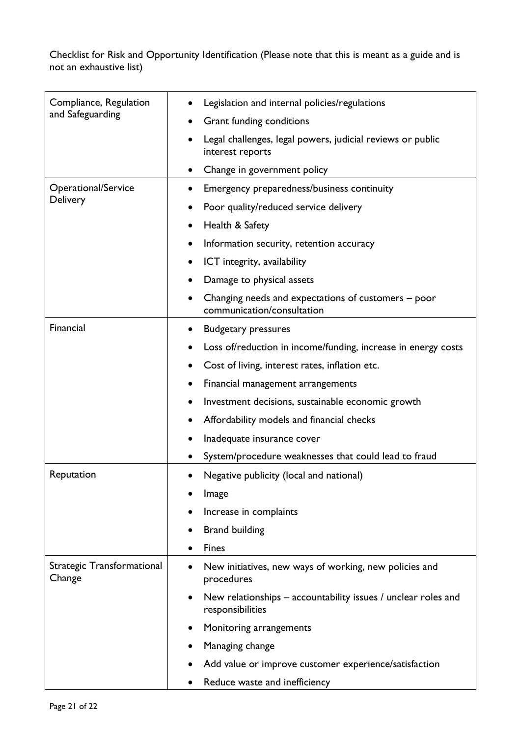Checklist for Risk and Opportunity Identification (Please note that this is meant as a guide and is not an exhaustive list)

| Compliance, Regulation<br>and Safeguarding | Legislation and internal policies/regulations                                     |
|--------------------------------------------|-----------------------------------------------------------------------------------|
|                                            | Grant funding conditions                                                          |
|                                            | Legal challenges, legal powers, judicial reviews or public<br>interest reports    |
|                                            | Change in government policy                                                       |
| Operational/Service<br>Delivery            | Emergency preparedness/business continuity                                        |
|                                            | Poor quality/reduced service delivery                                             |
|                                            | Health & Safety                                                                   |
|                                            | Information security, retention accuracy                                          |
|                                            | ICT integrity, availability                                                       |
|                                            | Damage to physical assets                                                         |
|                                            | Changing needs and expectations of customers – poor<br>communication/consultation |
| Financial                                  | <b>Budgetary pressures</b>                                                        |
|                                            | Loss of/reduction in income/funding, increase in energy costs                     |
|                                            | Cost of living, interest rates, inflation etc.                                    |
|                                            | Financial management arrangements                                                 |
|                                            | Investment decisions, sustainable economic growth                                 |
|                                            | Affordability models and financial checks                                         |
|                                            | Inadequate insurance cover                                                        |
|                                            | System/procedure weaknesses that could lead to fraud                              |
| Reputation                                 | Negative publicity (local and national)                                           |
|                                            | Image                                                                             |
|                                            | Increase in complaints                                                            |
|                                            | <b>Brand building</b>                                                             |
|                                            | <b>Fines</b>                                                                      |
| Strategic Transformational<br>Change       | New initiatives, new ways of working, new policies and<br>procedures              |
|                                            | New relationships – accountability issues / unclear roles and<br>responsibilities |
|                                            | Monitoring arrangements                                                           |
|                                            | Managing change                                                                   |
|                                            | Add value or improve customer experience/satisfaction                             |
|                                            | Reduce waste and inefficiency                                                     |